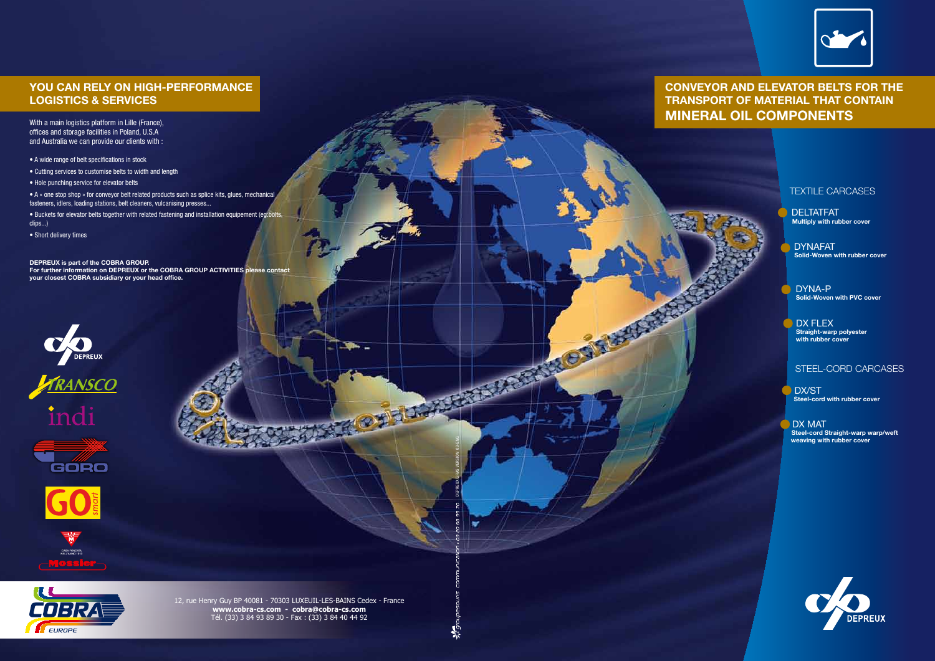#### TEXTILE CARCASES

DELTATFAT **Multiply with rubber cover**

DYNAFAT **Solid-Woven with rubber cover**

DYNA-P **Solid-Woven with PVC cover**

DX FLEX **Straight-warp polyester with rubber cover**

#### STEEL-CORD CARCASES

DX/ST **Steel-cord with rubber cover**

DX MAT **Steel-cord Straight-warp warp/weft weaving with rubber cover**



### **YOU CAN RELY ON HIGH-PERFORMANCE LOGISTICS & SERVICES**

With a main logistics platform in Lille (France), offices and storage facilities in Poland, U.S.A and Australia we can provide our clients with :

• A wide range of belt specifications in stock

• Cutting services to customise belts to width and length

• Hole punching service for elevator belts

• A « one stop shop » for conveyor belt related products such as splice kits, glues, mechanical fasteners, idlers, loading stations, belt cleaners, vulcanising presses...

• Buckets for elevator belts together with related fastening and installation equipement (eg:bolts, clips...)

• Short delivery times

**DEPREUX is part of the COBRA GROUP.**

**For further information on DEPREUX or the COBRA GROUP ACTIVITIES please contact your closest COBRA subsidiary or your head office.**











LUSE

EUROPE

## **CONVEYOR AND ELEVATOR BELTS FOR THE TRANSPORT OF MATERIAL THAT CONTAIN MINERAL OIL COMPONENTS**



DEPREUX GRAS VERSION 03-ENG